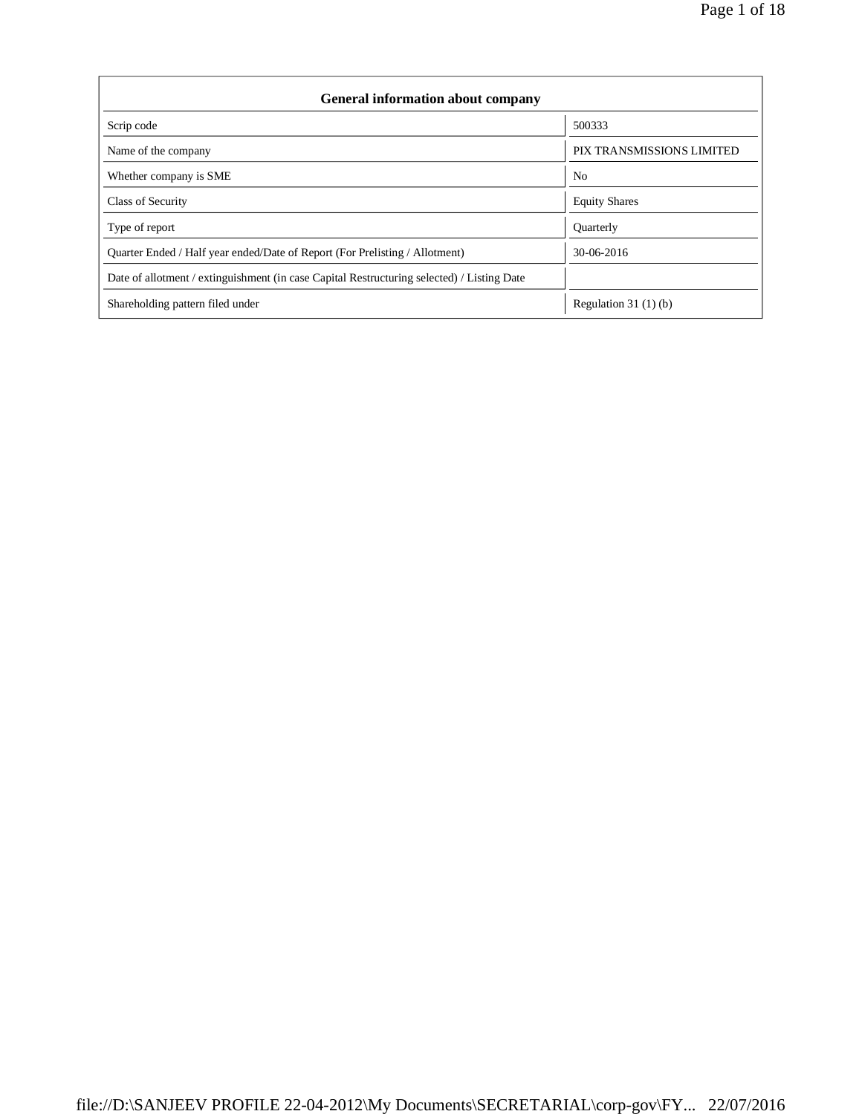| <b>General information about company</b>                                                   |                           |  |  |  |  |
|--------------------------------------------------------------------------------------------|---------------------------|--|--|--|--|
| Scrip code                                                                                 | 500333                    |  |  |  |  |
| Name of the company                                                                        | PIX TRANSMISSIONS LIMITED |  |  |  |  |
| Whether company is SME                                                                     | N <sub>0</sub>            |  |  |  |  |
| Class of Security                                                                          | <b>Equity Shares</b>      |  |  |  |  |
| Type of report                                                                             | Quarterly                 |  |  |  |  |
| Quarter Ended / Half year ended/Date of Report (For Prelisting / Allotment)                | 30-06-2016                |  |  |  |  |
| Date of allotment / extinguishment (in case Capital Restructuring selected) / Listing Date |                           |  |  |  |  |
| Shareholding pattern filed under                                                           | Regulation $31(1)(b)$     |  |  |  |  |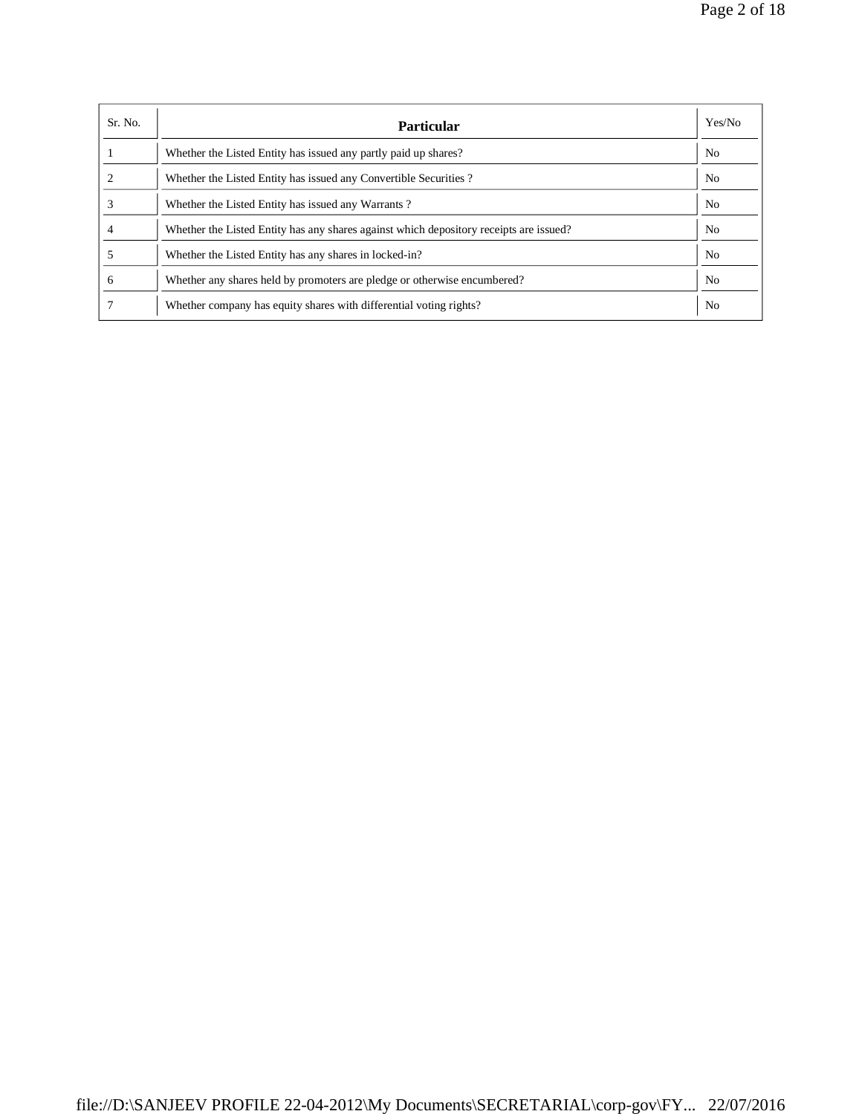| Sr. No. | <b>Particular</b>                                                                      | Yes/No         |
|---------|----------------------------------------------------------------------------------------|----------------|
|         | Whether the Listed Entity has issued any partly paid up shares?                        | N <sub>0</sub> |
|         | Whether the Listed Entity has issued any Convertible Securities?                       | N <sub>0</sub> |
|         | Whether the Listed Entity has issued any Warrants?                                     | N <sub>o</sub> |
|         | Whether the Listed Entity has any shares against which depository receipts are issued? | N <sub>o</sub> |
|         | Whether the Listed Entity has any shares in locked-in?                                 | N <sub>0</sub> |
| 6       | Whether any shares held by promoters are pledge or otherwise encumbered?               | N <sub>0</sub> |
|         | Whether company has equity shares with differential voting rights?                     | N <sub>0</sub> |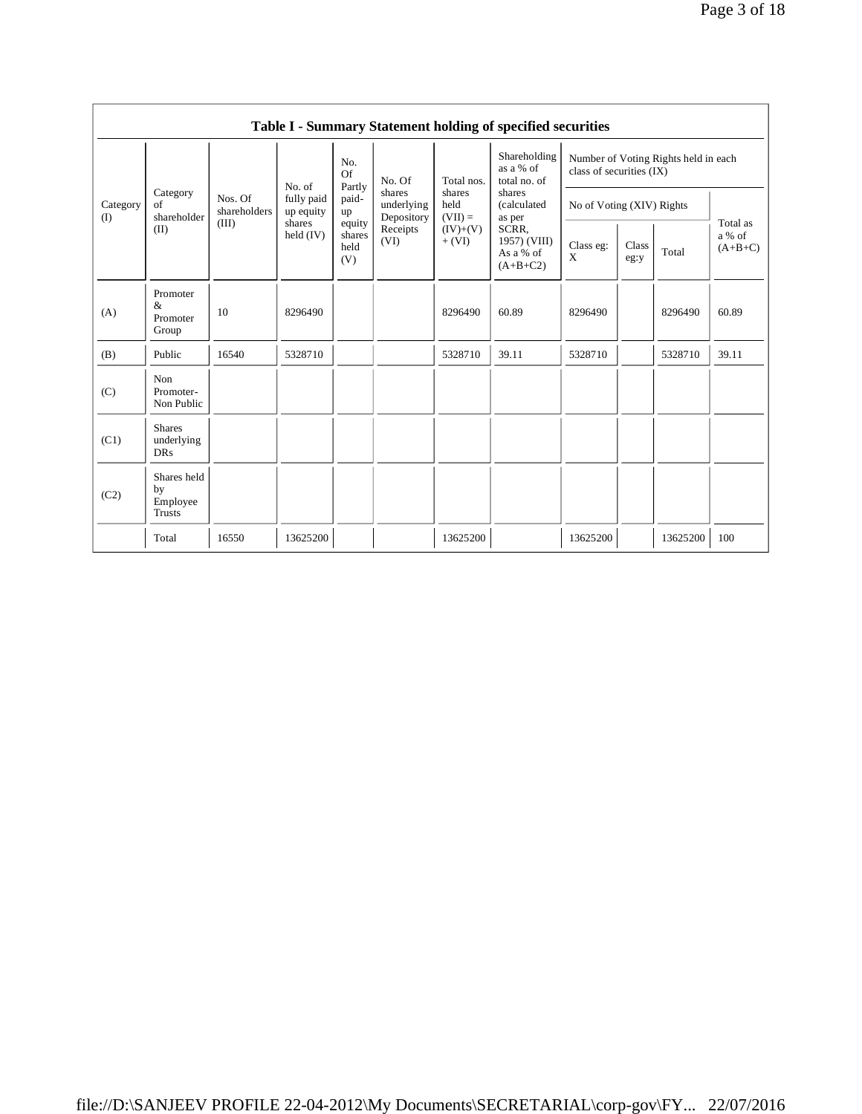|                 |                                           |                         |                         |                                 |                                    |                             | Table I - Summary Statement holding of specified securities |                           |               |                                      |                                 |
|-----------------|-------------------------------------------|-------------------------|-------------------------|---------------------------------|------------------------------------|-----------------------------|-------------------------------------------------------------|---------------------------|---------------|--------------------------------------|---------------------------------|
|                 |                                           |                         | No. of                  | No.<br>Of<br>Partly             | No. Of                             | Total nos.                  | Shareholding<br>as a % of<br>total no. of                   | class of securities (IX)  |               | Number of Voting Rights held in each |                                 |
| Category<br>(I) | Category<br>of<br>shareholder             | Nos. Of<br>shareholders | fully paid<br>up equity | paid-<br>up                     | shares<br>underlying<br>Depository | shares<br>held<br>$(VII) =$ | shares<br>(calculated<br>as per                             | No of Voting (XIV) Rights |               |                                      |                                 |
|                 | (II)                                      | (III)                   | shares<br>held $(IV)$   | equity<br>shares<br>held<br>(V) | Receipts<br>(VI)                   | $(IV)+(V)$<br>$+ (VI)$      | SCRR.<br>1957) (VIII)<br>As a % of<br>$(A+B+C2)$            | Class eg:<br>X            | Class<br>eg:y | Total                                | Total as<br>a % of<br>$(A+B+C)$ |
| (A)             | Promoter<br>&<br>Promoter<br>Group        | 10                      | 8296490                 |                                 |                                    | 8296490                     | 60.89                                                       | 8296490                   |               | 8296490                              | 60.89                           |
| (B)             | Public                                    | 16540                   | 5328710                 |                                 |                                    | 5328710                     | 39.11                                                       | 5328710                   |               | 5328710                              | 39.11                           |
| (C)             | Non<br>Promoter-<br>Non Public            |                         |                         |                                 |                                    |                             |                                                             |                           |               |                                      |                                 |
| (C1)            | <b>Shares</b><br>underlying<br><b>DRs</b> |                         |                         |                                 |                                    |                             |                                                             |                           |               |                                      |                                 |
| (C2)            | Shares held<br>by<br>Employee<br>Trusts   |                         |                         |                                 |                                    |                             |                                                             |                           |               |                                      |                                 |
|                 | Total                                     | 16550                   | 13625200                |                                 |                                    | 13625200                    |                                                             | 13625200                  |               | 13625200                             | 100                             |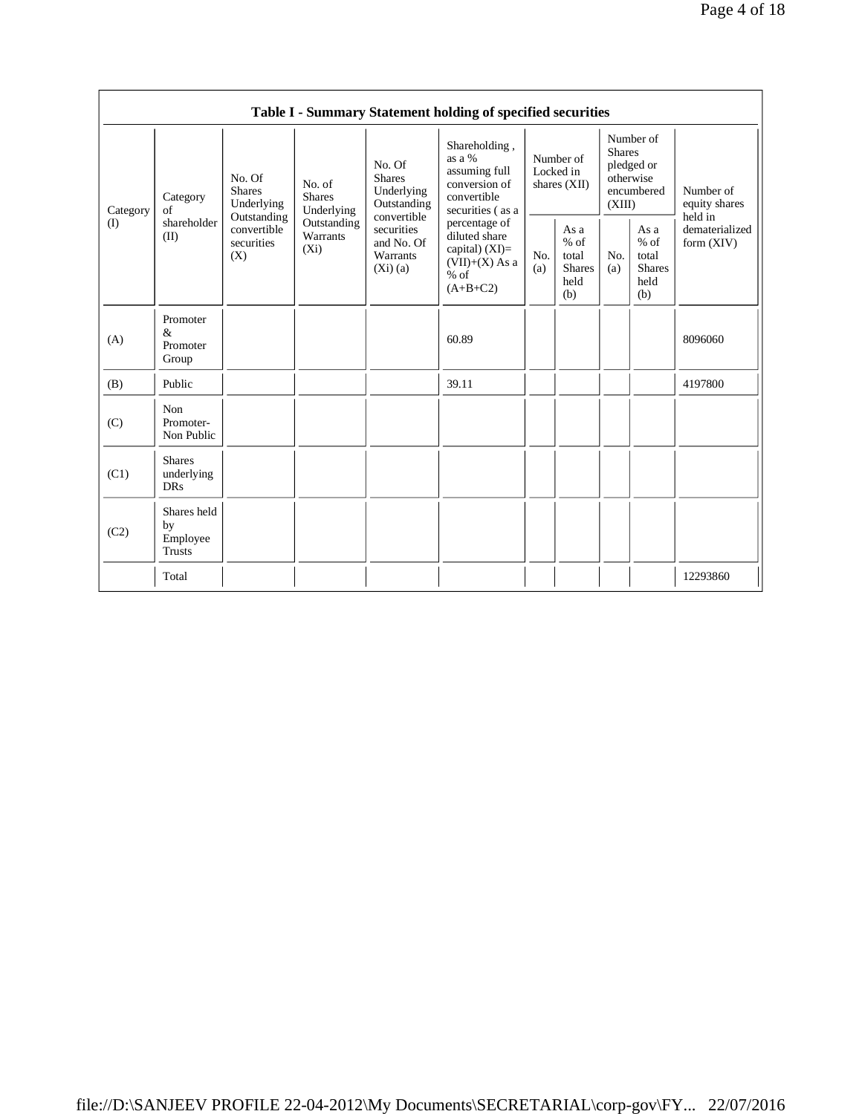|                |                                           |                                                 |                                       |                                                                | Table I - Summary Statement holding of specified securities                                    |                                          |                                                         |                                                                               |                                                  |                                       |
|----------------|-------------------------------------------|-------------------------------------------------|---------------------------------------|----------------------------------------------------------------|------------------------------------------------------------------------------------------------|------------------------------------------|---------------------------------------------------------|-------------------------------------------------------------------------------|--------------------------------------------------|---------------------------------------|
| Category<br>of | Category                                  | No. Of<br><b>Shares</b><br>Underlying           | No. of<br><b>Shares</b><br>Underlying | No. Of<br><b>Shares</b><br>Underlying<br>Outstanding           | Shareholding,<br>as a %<br>assuming full<br>conversion of<br>convertible<br>securities (as a   | Number of<br>Locked in<br>shares $(XII)$ |                                                         | Number of<br><b>Shares</b><br>pledged or<br>otherwise<br>encumbered<br>(XIII) |                                                  | Number of<br>equity shares<br>held in |
| (I)            | shareholder<br>(II)                       | Outstanding<br>convertible<br>securities<br>(X) | Outstanding<br>Warrants<br>$(X_i)$    | convertible<br>securities<br>and No. Of<br>Warrants<br>(Xi)(a) | percentage of<br>diluted share<br>capital) $(XI)=$<br>$(VII)+(X)$ As a<br>$%$ of<br>$(A+B+C2)$ | No.<br>(a)                               | As a<br>$%$ of<br>total<br><b>Shares</b><br>held<br>(b) | No.<br>(a)                                                                    | As a<br>$%$ of<br>total<br>Shares<br>held<br>(b) | dematerialized<br>form $(XIV)$        |
| (A)            | Promoter<br>&<br>Promoter<br>Group        |                                                 |                                       |                                                                | 60.89                                                                                          |                                          |                                                         |                                                                               |                                                  | 8096060                               |
| (B)            | Public                                    |                                                 |                                       |                                                                | 39.11                                                                                          |                                          |                                                         |                                                                               |                                                  | 4197800                               |
| (C)            | Non<br>Promoter-<br>Non Public            |                                                 |                                       |                                                                |                                                                                                |                                          |                                                         |                                                                               |                                                  |                                       |
| (C1)           | <b>Shares</b><br>underlying<br><b>DRs</b> |                                                 |                                       |                                                                |                                                                                                |                                          |                                                         |                                                                               |                                                  |                                       |
| (C2)           | Shares held<br>by<br>Employee<br>Trusts   |                                                 |                                       |                                                                |                                                                                                |                                          |                                                         |                                                                               |                                                  |                                       |
|                | Total                                     |                                                 |                                       |                                                                |                                                                                                |                                          |                                                         |                                                                               |                                                  | 12293860                              |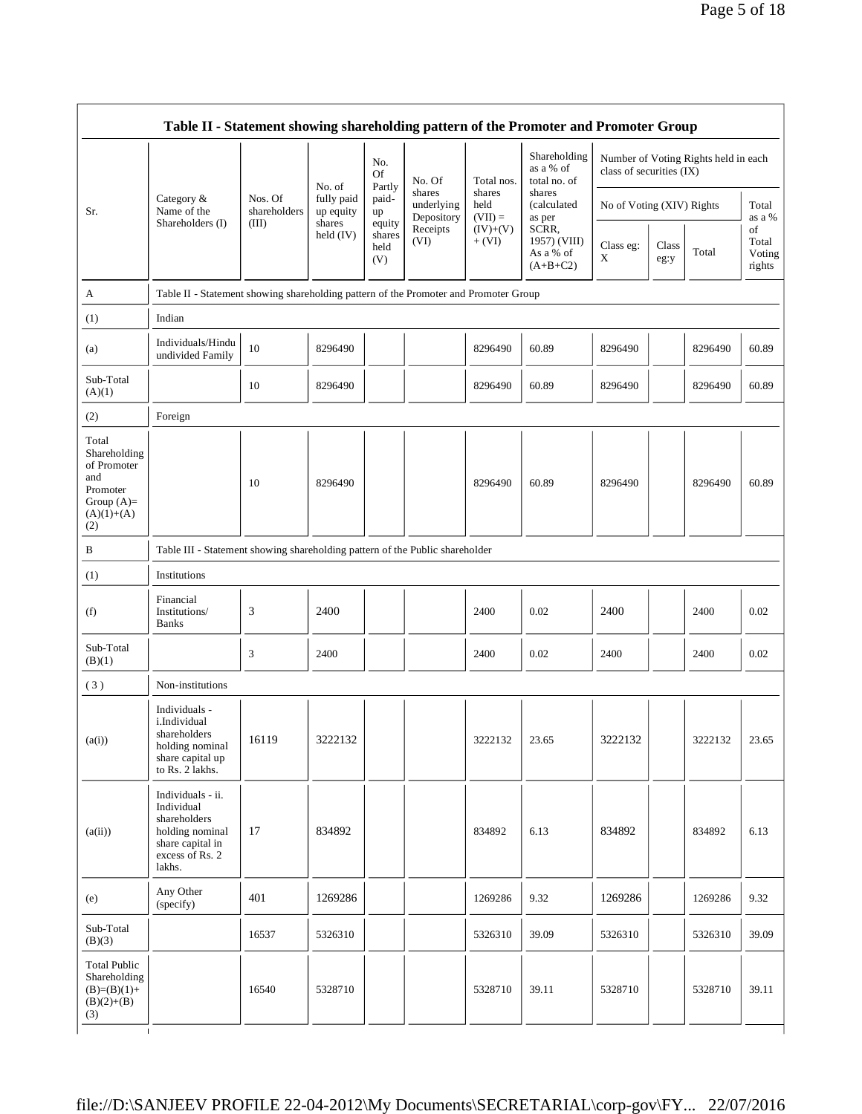|                                                                                                | Table II - Statement showing shareholding pattern of the Promoter and Promoter Group                                |                         |                         |                                 |                                    |                             |                                                  |                           |               |                                      |                                 |
|------------------------------------------------------------------------------------------------|---------------------------------------------------------------------------------------------------------------------|-------------------------|-------------------------|---------------------------------|------------------------------------|-----------------------------|--------------------------------------------------|---------------------------|---------------|--------------------------------------|---------------------------------|
|                                                                                                |                                                                                                                     |                         | No. of                  | No.<br><b>Of</b><br>Partly      | No. Of                             | Total nos.                  | Shareholding<br>as a % of<br>total no. of        | class of securities (IX)  |               | Number of Voting Rights held in each |                                 |
| Sr.                                                                                            | Category &<br>Name of the                                                                                           | Nos. Of<br>shareholders | fully paid<br>up equity | paid-<br>up                     | shares<br>underlying<br>Depository | shares<br>held<br>$(VII) =$ | shares<br>(calculated<br>as per                  | No of Voting (XIV) Rights |               |                                      | Total<br>as a %                 |
|                                                                                                | Shareholders (I)                                                                                                    | (III)                   | shares<br>held $(IV)$   | equity<br>shares<br>held<br>(V) | Receipts<br>(VI)                   | $(IV)+(V)$<br>$+ (VI)$      | SCRR,<br>1957) (VIII)<br>As a % of<br>$(A+B+C2)$ | Class eg:<br>X            | Class<br>eg:y | Total                                | of<br>Total<br>Voting<br>rights |
| A                                                                                              | Table II - Statement showing shareholding pattern of the Promoter and Promoter Group                                |                         |                         |                                 |                                    |                             |                                                  |                           |               |                                      |                                 |
| (1)                                                                                            | Indian                                                                                                              |                         |                         |                                 |                                    |                             |                                                  |                           |               |                                      |                                 |
| (a)                                                                                            | Individuals/Hindu<br>undivided Family                                                                               | 10                      | 8296490                 |                                 |                                    | 8296490                     | 60.89                                            | 8296490                   |               | 8296490                              | 60.89                           |
| Sub-Total<br>(A)(1)                                                                            |                                                                                                                     | 10                      | 8296490                 |                                 |                                    | 8296490                     | 60.89                                            | 8296490                   |               | 8296490                              | 60.89                           |
| (2)                                                                                            | Foreign                                                                                                             |                         |                         |                                 |                                    |                             |                                                  |                           |               |                                      |                                 |
| Total<br>Shareholding<br>of Promoter<br>and<br>Promoter<br>Group $(A)=$<br>$(A)(1)+(A)$<br>(2) |                                                                                                                     | 10                      | 8296490                 |                                 |                                    | 8296490                     | 60.89                                            | 8296490                   |               | 8296490                              | 60.89                           |
| B                                                                                              | Table III - Statement showing shareholding pattern of the Public shareholder                                        |                         |                         |                                 |                                    |                             |                                                  |                           |               |                                      |                                 |
| (1)                                                                                            | Institutions                                                                                                        |                         |                         |                                 |                                    |                             |                                                  |                           |               |                                      |                                 |
| (f)                                                                                            | Financial<br>Institutions/<br><b>Banks</b>                                                                          | 3                       | 2400                    |                                 |                                    | 2400                        | 0.02                                             | 2400                      |               | 2400                                 | 0.02                            |
| Sub-Total<br>(B)(1)                                                                            |                                                                                                                     | 3                       | 2400                    |                                 |                                    | 2400                        | 0.02                                             | 2400                      |               | 2400                                 | 0.02                            |
| (3)                                                                                            | Non-institutions                                                                                                    |                         |                         |                                 |                                    |                             |                                                  |                           |               |                                      |                                 |
| (a(i))                                                                                         | Individuals -<br>i.Individual<br>shareholders<br>holding nominal<br>share capital up<br>to Rs. 2 lakhs.             | 16119                   | 3222132                 |                                 |                                    | 3222132                     | 23.65                                            | 3222132                   |               | 3222132                              | 23.65                           |
| (a(ii))                                                                                        | Individuals - ii.<br>Individual<br>shareholders<br>holding nominal<br>share capital in<br>excess of Rs. 2<br>lakhs. | 17                      | 834892                  |                                 |                                    | 834892                      | 6.13                                             | 834892                    |               | 834892                               | 6.13                            |
| (e)                                                                                            | Any Other<br>(specify)                                                                                              | 401                     | 1269286                 |                                 |                                    | 1269286                     | 9.32                                             | 1269286                   |               | 1269286                              | 9.32                            |
| Sub-Total<br>(B)(3)                                                                            |                                                                                                                     | 16537                   | 5326310                 |                                 |                                    | 5326310                     | 39.09                                            | 5326310                   |               | 5326310                              | 39.09                           |
| <b>Total Public</b><br>Shareholding<br>$(B)=(B)(1)+$<br>$(B)(2)+(B)$<br>(3)<br>$\mathbf{I}$    |                                                                                                                     | 16540                   | 5328710                 |                                 |                                    | 5328710                     | 39.11                                            | 5328710                   |               | 5328710                              | 39.11                           |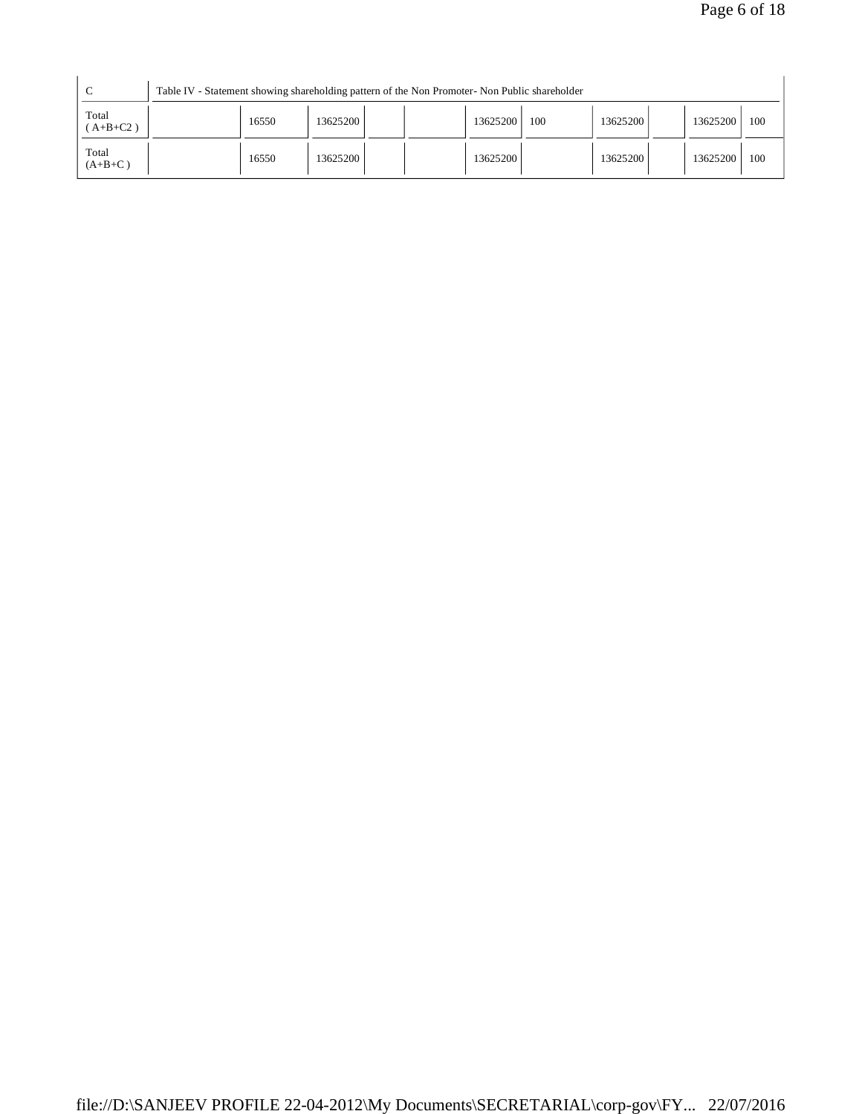| C                   |       | Table IV - Statement showing shareholding pattern of the Non Promoter- Non Public shareholder |          |     |          |          |     |
|---------------------|-------|-----------------------------------------------------------------------------------------------|----------|-----|----------|----------|-----|
| Total<br>$(A+B+C2)$ | 16550 | 13625200                                                                                      | 13625200 | 100 | 13625200 | 13625200 | 100 |
| Total<br>$(A+B+C)$  | 16550 | 13625200                                                                                      | 13625200 |     | 13625200 | 13625200 | 100 |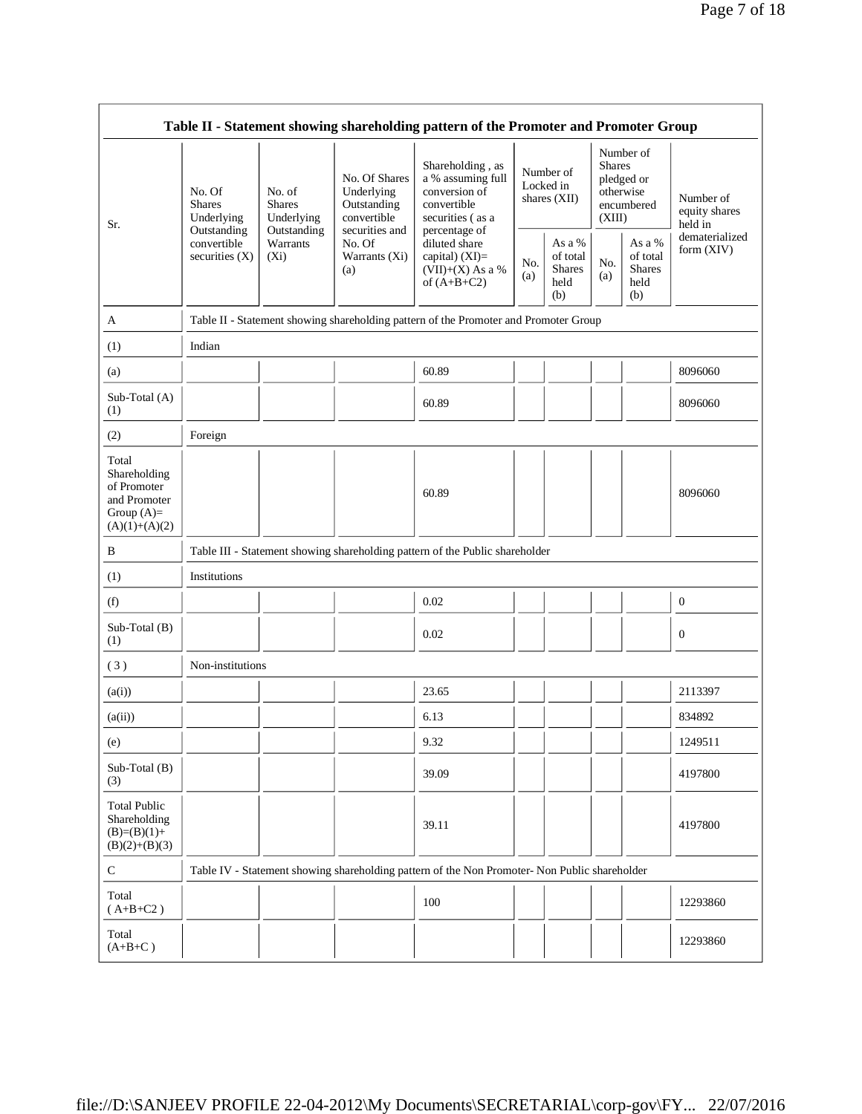|                                                                                         |                                                |                                       |                                                                             | Table II - Statement showing shareholding pattern of the Promoter and Promoter Group                       |                                          |                                                    |                                                                               |                                                    |                                       |
|-----------------------------------------------------------------------------------------|------------------------------------------------|---------------------------------------|-----------------------------------------------------------------------------|------------------------------------------------------------------------------------------------------------|------------------------------------------|----------------------------------------------------|-------------------------------------------------------------------------------|----------------------------------------------------|---------------------------------------|
| Sr.                                                                                     | No. Of<br><b>Shares</b><br>Underlying          | No. of<br><b>Shares</b><br>Underlying | No. Of Shares<br>Underlying<br>Outstanding<br>convertible<br>securities and | Shareholding, as<br>a % assuming full<br>conversion of<br>convertible<br>securities (as a<br>percentage of | Number of<br>Locked in<br>shares $(XII)$ |                                                    | Number of<br><b>Shares</b><br>pledged or<br>otherwise<br>encumbered<br>(XIII) |                                                    | Number of<br>equity shares<br>held in |
|                                                                                         | Outstanding<br>convertible<br>securities $(X)$ | Outstanding<br>Warrants<br>$(X_i)$    | No. Of<br>Warrants (Xi)<br>(a)                                              | diluted share<br>capital) (XI)=<br>$(VII)+(X)$ As a %<br>of $(A+B+C2)$                                     | No.<br>(a)                               | As a %<br>of total<br><b>Shares</b><br>held<br>(b) | No.<br>(a)                                                                    | As a %<br>of total<br><b>Shares</b><br>held<br>(b) | dematerialized<br>form (XIV)          |
| A                                                                                       |                                                |                                       |                                                                             | Table II - Statement showing shareholding pattern of the Promoter and Promoter Group                       |                                          |                                                    |                                                                               |                                                    |                                       |
| (1)                                                                                     | Indian                                         |                                       |                                                                             |                                                                                                            |                                          |                                                    |                                                                               |                                                    |                                       |
| (a)                                                                                     |                                                |                                       |                                                                             | 60.89                                                                                                      |                                          |                                                    |                                                                               |                                                    | 8096060                               |
| Sub-Total (A)<br>(1)                                                                    |                                                |                                       |                                                                             | 60.89                                                                                                      |                                          |                                                    |                                                                               |                                                    | 8096060                               |
| (2)                                                                                     | Foreign                                        |                                       |                                                                             |                                                                                                            |                                          |                                                    |                                                                               |                                                    |                                       |
| Total<br>Shareholding<br>of Promoter<br>and Promoter<br>Group $(A)=$<br>$(A)(1)+(A)(2)$ |                                                |                                       |                                                                             | 60.89                                                                                                      |                                          |                                                    |                                                                               |                                                    | 8096060                               |
| B                                                                                       |                                                |                                       |                                                                             | Table III - Statement showing shareholding pattern of the Public shareholder                               |                                          |                                                    |                                                                               |                                                    |                                       |
| (1)                                                                                     | Institutions                                   |                                       |                                                                             |                                                                                                            |                                          |                                                    |                                                                               |                                                    |                                       |
| (f)                                                                                     |                                                |                                       |                                                                             | 0.02                                                                                                       |                                          |                                                    |                                                                               |                                                    | $\boldsymbol{0}$                      |
| Sub-Total (B)<br>(1)                                                                    |                                                |                                       |                                                                             | 0.02                                                                                                       |                                          |                                                    |                                                                               |                                                    | $\mathbf{0}$                          |
| (3)                                                                                     | Non-institutions                               |                                       |                                                                             |                                                                                                            |                                          |                                                    |                                                                               |                                                    |                                       |
| (a(i))                                                                                  |                                                |                                       |                                                                             | 23.65                                                                                                      |                                          |                                                    |                                                                               |                                                    | 2113397                               |
| (a(ii))                                                                                 |                                                |                                       |                                                                             | 6.13                                                                                                       |                                          |                                                    |                                                                               |                                                    | 834892                                |
| (e)                                                                                     |                                                |                                       |                                                                             | 9.32                                                                                                       |                                          |                                                    |                                                                               |                                                    | 1249511                               |
| Sub-Total (B)<br>(3)                                                                    |                                                |                                       |                                                                             | 39.09                                                                                                      |                                          |                                                    |                                                                               |                                                    | 4197800                               |
| <b>Total Public</b><br>Shareholding<br>$(B)=(B)(1)+$<br>$(B)(2)+(B)(3)$                 |                                                |                                       |                                                                             | 39.11                                                                                                      |                                          |                                                    |                                                                               |                                                    | 4197800                               |
| $\mathsf{C}$                                                                            |                                                |                                       |                                                                             | Table IV - Statement showing shareholding pattern of the Non Promoter- Non Public shareholder              |                                          |                                                    |                                                                               |                                                    |                                       |
| Total<br>$(A+B+C2)$                                                                     |                                                |                                       |                                                                             | 100                                                                                                        |                                          |                                                    |                                                                               |                                                    | 12293860                              |
| Total<br>$(A+B+C)$                                                                      |                                                |                                       |                                                                             |                                                                                                            |                                          |                                                    |                                                                               |                                                    | 12293860                              |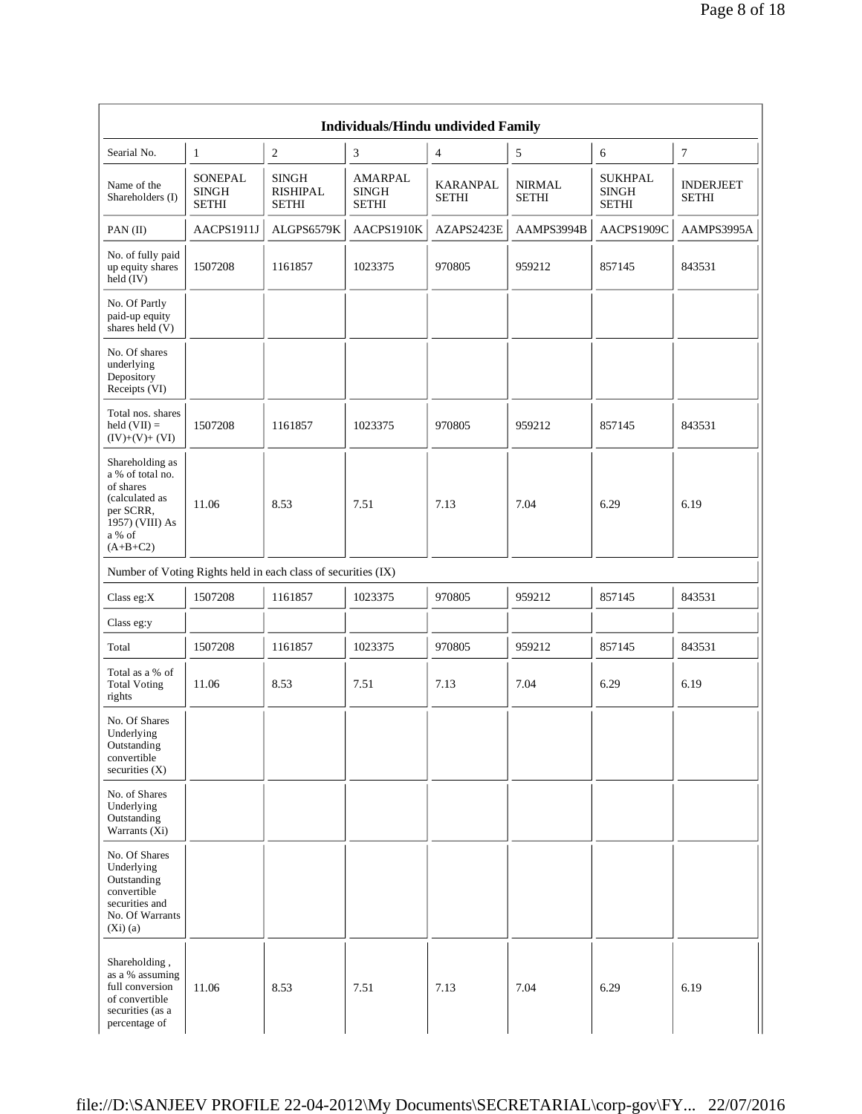|                                                                                                                            |                                         |                                                               | <b>Individuals/Hindu undivided Family</b> |                                 |                               |                                                |                                  |
|----------------------------------------------------------------------------------------------------------------------------|-----------------------------------------|---------------------------------------------------------------|-------------------------------------------|---------------------------------|-------------------------------|------------------------------------------------|----------------------------------|
| Searial No.                                                                                                                | $\mathbf{1}$                            | $\sqrt{2}$                                                    | 3                                         | 4                               | $\sqrt{5}$                    | 6                                              | $\boldsymbol{7}$                 |
| Name of the<br>Shareholders (I)                                                                                            | SONEPAL<br><b>SINGH</b><br><b>SETHI</b> | <b>SINGH</b><br><b>RISHIPAL</b><br><b>SETHI</b>               | AMARPAL<br><b>SINGH</b><br><b>SETHI</b>   | <b>KARANPAL</b><br><b>SETHI</b> | <b>NIRMAL</b><br><b>SETHI</b> | <b>SUKHPAL</b><br><b>SINGH</b><br><b>SETHI</b> | <b>INDERJEET</b><br><b>SETHI</b> |
| $PAN$ (II)                                                                                                                 | AACPS1911J                              | ALGPS6579K                                                    | AACPS1910K                                | AZAPS2423E                      | AAMPS3994B                    | AACPS1909C                                     | AAMPS3995A                       |
| No. of fully paid<br>up equity shares<br>$held$ (IV)                                                                       | 1507208                                 | 1161857                                                       | 1023375                                   | 970805                          | 959212                        | 857145                                         | 843531                           |
| No. Of Partly<br>paid-up equity<br>shares held (V)                                                                         |                                         |                                                               |                                           |                                 |                               |                                                |                                  |
| No. Of shares<br>underlying<br>Depository<br>Receipts (VI)                                                                 |                                         |                                                               |                                           |                                 |                               |                                                |                                  |
| Total nos. shares<br>held $(VII) =$<br>$(IV)+(V)+(VI)$                                                                     | 1507208                                 | 1161857                                                       | 1023375                                   | 970805                          | 959212                        | 857145                                         | 843531                           |
| Shareholding as<br>a % of total no.<br>of shares<br>(calculated as<br>per SCRR,<br>1957) (VIII) As<br>a % of<br>$(A+B+C2)$ | 11.06                                   | 8.53                                                          | 7.51                                      | 7.13                            | 7.04                          | 6.29                                           | 6.19                             |
|                                                                                                                            |                                         | Number of Voting Rights held in each class of securities (IX) |                                           |                                 |                               |                                                |                                  |
| Class eg:X                                                                                                                 | 1507208                                 | 1161857                                                       | 1023375                                   | 970805                          | 959212                        | 857145                                         | 843531                           |
| Class eg:y                                                                                                                 |                                         |                                                               |                                           |                                 |                               |                                                |                                  |
| Total                                                                                                                      | 1507208                                 | 1161857                                                       | 1023375                                   | 970805                          | 959212                        | 857145                                         | 843531                           |
| Total as a % of<br><b>Total Voting</b><br>rights                                                                           | 11.06                                   | 8.53                                                          | 7.51                                      | 7.13                            | 7.04                          | 6.29                                           | 6.19                             |
| No. Of Shares<br>Underlying<br>Outstanding<br>convertible<br>securities $(X)$                                              |                                         |                                                               |                                           |                                 |                               |                                                |                                  |
| No. of Shares<br>Underlying<br>Outstanding<br>Warrants $(X_i)$                                                             |                                         |                                                               |                                           |                                 |                               |                                                |                                  |
| No. Of Shares<br>Underlying<br>Outstanding<br>convertible<br>securities and<br>No. Of Warrants<br>(Xi)(a)                  |                                         |                                                               |                                           |                                 |                               |                                                |                                  |
| Shareholding,<br>as a % assuming<br>full conversion<br>of convertible<br>securities (as a<br>percentage of                 | 11.06                                   | 8.53                                                          | 7.51                                      | 7.13                            | 7.04                          | 6.29                                           | 6.19                             |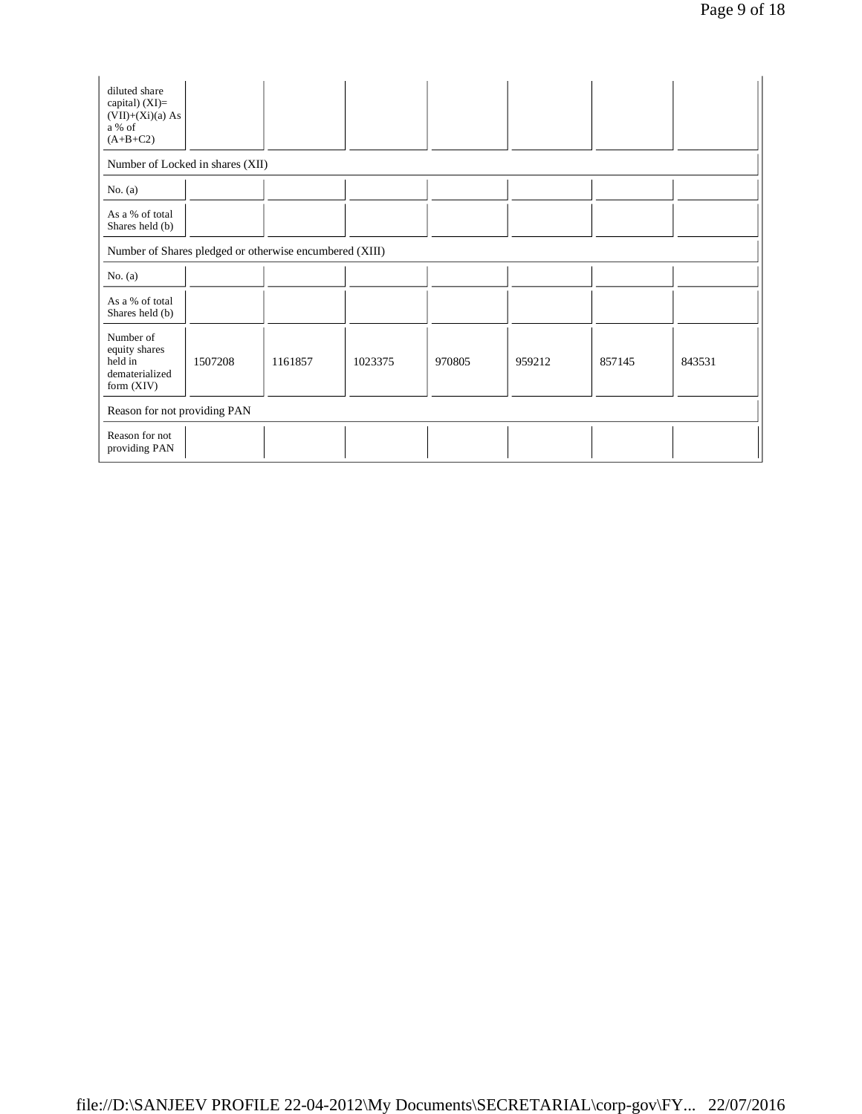| diluted share<br>capital) $(XI)=$<br>$(VII)+(Xi)(a) As$<br>a % of<br>$(A+B+C2)$ |         |         |         |        |        |        |        |
|---------------------------------------------------------------------------------|---------|---------|---------|--------|--------|--------|--------|
| Number of Locked in shares (XII)                                                |         |         |         |        |        |        |        |
| No. $(a)$                                                                       |         |         |         |        |        |        |        |
| As a % of total<br>Shares held (b)                                              |         |         |         |        |        |        |        |
| Number of Shares pledged or otherwise encumbered (XIII)                         |         |         |         |        |        |        |        |
| No. $(a)$                                                                       |         |         |         |        |        |        |        |
| As a % of total<br>Shares held (b)                                              |         |         |         |        |        |        |        |
| Number of<br>equity shares<br>held in<br>dematerialized<br>form $(XIV)$         | 1507208 | 1161857 | 1023375 | 970805 | 959212 | 857145 | 843531 |
| Reason for not providing PAN                                                    |         |         |         |        |        |        |        |
| Reason for not<br>providing PAN                                                 |         |         |         |        |        |        |        |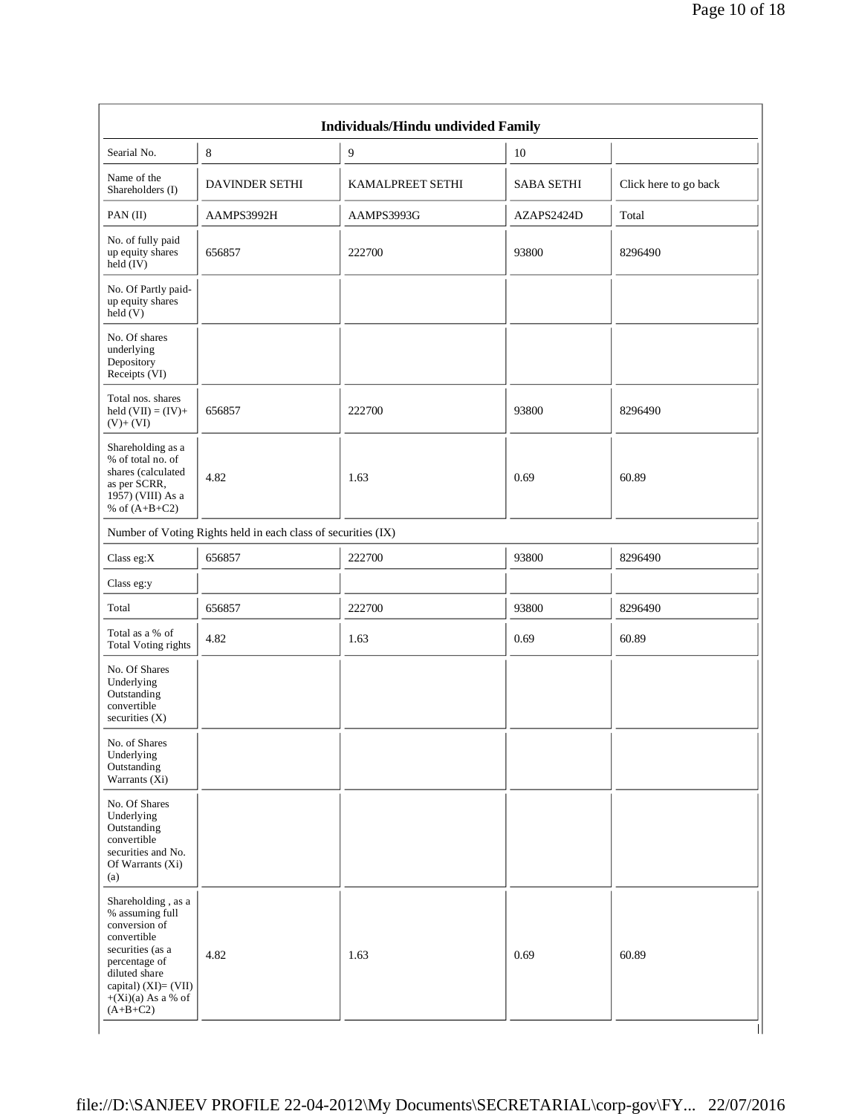|                                                                                                                                                                                           |                                                               | Individuals/Hindu undivided Family |                   |                       |
|-------------------------------------------------------------------------------------------------------------------------------------------------------------------------------------------|---------------------------------------------------------------|------------------------------------|-------------------|-----------------------|
| Searial No.                                                                                                                                                                               | 8                                                             | 9                                  | 10                |                       |
| Name of the<br>Shareholders (I)                                                                                                                                                           | <b>DAVINDER SETHI</b>                                         | KAMALPREET SETHI                   | <b>SABA SETHI</b> | Click here to go back |
| PAN(II)                                                                                                                                                                                   | AAMPS3992H                                                    | AAMPS3993G                         | AZAPS2424D        | Total                 |
| No. of fully paid<br>up equity shares<br>held $(IV)$                                                                                                                                      | 656857                                                        | 222700                             | 93800             | 8296490               |
| No. Of Partly paid-<br>up equity shares<br>$\text{held}(V)$                                                                                                                               |                                                               |                                    |                   |                       |
| No. Of shares<br>underlying<br>Depository<br>Receipts (VI)                                                                                                                                |                                                               |                                    |                   |                       |
| Total nos. shares<br>held $(VII) = (IV) +$<br>$(V)+(VI)$                                                                                                                                  | 656857                                                        | 222700                             | 93800             | 8296490               |
| Shareholding as a<br>% of total no. of<br>shares (calculated<br>as per SCRR,<br>1957) (VIII) As a<br>% of $(A+B+C2)$                                                                      | 4.82                                                          | 1.63                               | 0.69              | 60.89                 |
|                                                                                                                                                                                           | Number of Voting Rights held in each class of securities (IX) |                                    |                   |                       |
| Class eg: $X$                                                                                                                                                                             | 656857                                                        | 222700                             | 93800             | 8296490               |
| Class eg:y                                                                                                                                                                                |                                                               |                                    |                   |                       |
| Total                                                                                                                                                                                     | 656857                                                        | 222700                             | 93800             | 8296490               |
| Total as a % of<br><b>Total Voting rights</b>                                                                                                                                             | 4.82                                                          | 1.63                               | 0.69              | 60.89                 |
| No. Of Shares<br>Underlying<br>Outstanding<br>convertible<br>securities $(X)$                                                                                                             |                                                               |                                    |                   |                       |
| No. of Shares<br>Underlying<br>Outstanding<br>Warrants (Xi)                                                                                                                               |                                                               |                                    |                   |                       |
| No. Of Shares<br>Underlying<br>Outstanding<br>convertible<br>securities and No.<br>Of Warrants $(X_i)$<br>(a)                                                                             |                                                               |                                    |                   |                       |
| Shareholding, as a<br>% assuming full<br>conversion of<br>convertible<br>securities (as a<br>percentage of<br>diluted share<br>capital) (XI)= (VII)<br>$+(Xi)(a)$ As a % of<br>$(A+B+C2)$ | 4.82                                                          | 1.63                               | 0.69              | 60.89                 |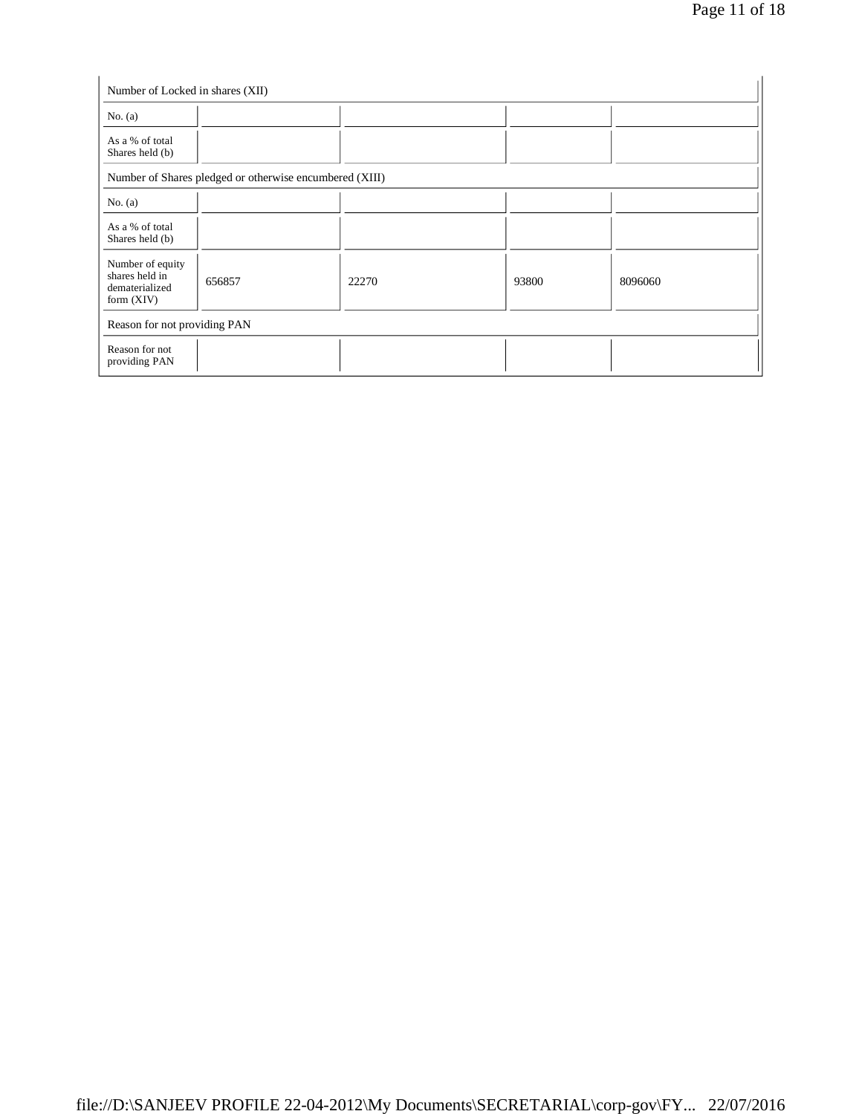| Number of Locked in shares (XII)                                     |                                                         |       |       |         |
|----------------------------------------------------------------------|---------------------------------------------------------|-------|-------|---------|
| No. $(a)$                                                            |                                                         |       |       |         |
| As a % of total<br>Shares held (b)                                   |                                                         |       |       |         |
|                                                                      | Number of Shares pledged or otherwise encumbered (XIII) |       |       |         |
| No. $(a)$                                                            |                                                         |       |       |         |
| As a % of total<br>Shares held (b)                                   |                                                         |       |       |         |
| Number of equity<br>shares held in<br>dematerialized<br>form $(XIV)$ | 656857                                                  | 22270 | 93800 | 8096060 |
| Reason for not providing PAN                                         |                                                         |       |       |         |
| Reason for not<br>providing PAN                                      |                                                         |       |       |         |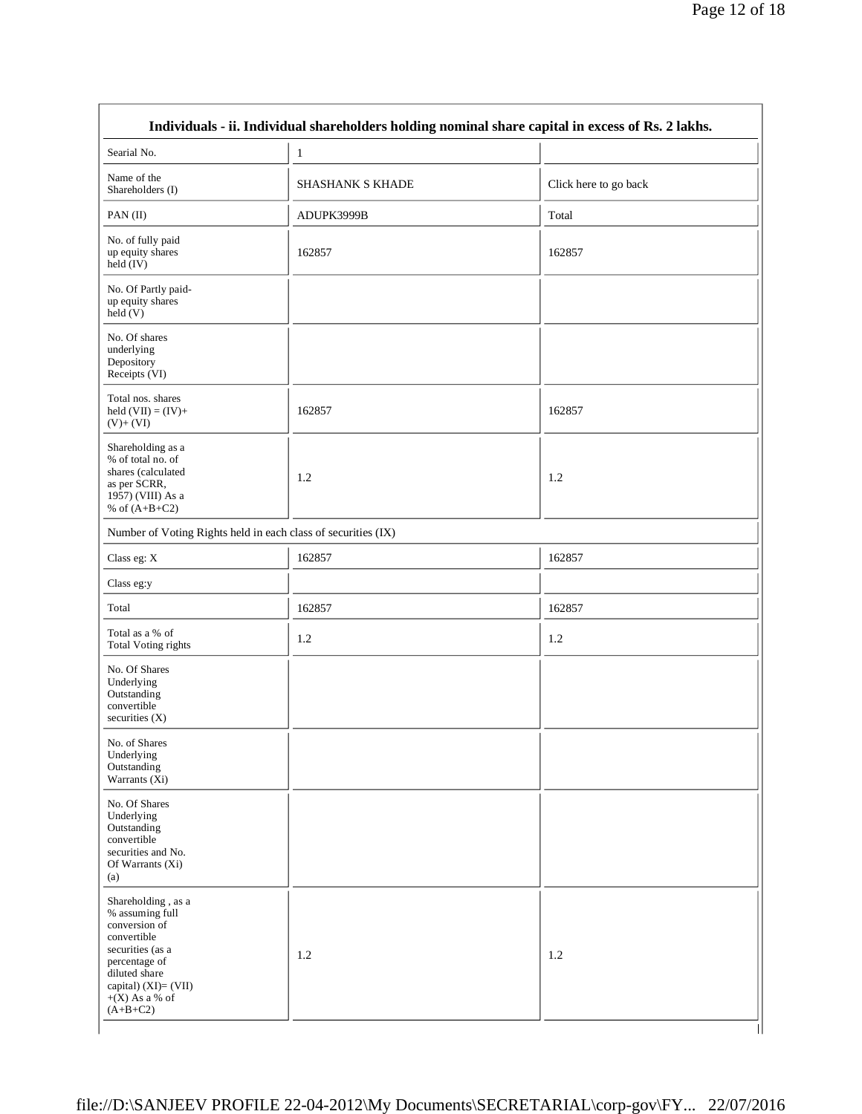| Searial No.                                                                                                                                                                           | $\mathbf{1}$                                                  |                       |
|---------------------------------------------------------------------------------------------------------------------------------------------------------------------------------------|---------------------------------------------------------------|-----------------------|
| Name of the<br>Shareholders (I)                                                                                                                                                       | SHASHANK S KHADE                                              | Click here to go back |
| PAN(II)                                                                                                                                                                               | ADUPK3999B                                                    | Total                 |
| No. of fully paid<br>up equity shares<br>held (IV)                                                                                                                                    | 162857                                                        | 162857                |
| No. Of Partly paid-<br>up equity shares<br>held(V)                                                                                                                                    |                                                               |                       |
| No. Of shares<br>underlying<br>Depository<br>Receipts (VI)                                                                                                                            |                                                               |                       |
| Total nos. shares<br>held $(VII) = (IV) +$<br>$(V)+(VI)$                                                                                                                              | 162857                                                        | 162857                |
| Shareholding as a<br>% of total no. of<br>shares (calculated<br>as per SCRR,<br>1957) (VIII) As a<br>% of $(A+B+C2)$                                                                  | 1.2                                                           | 1.2                   |
|                                                                                                                                                                                       | Number of Voting Rights held in each class of securities (IX) |                       |
| Class eg: X                                                                                                                                                                           | 162857                                                        | 162857                |
| Class eg:y                                                                                                                                                                            |                                                               |                       |
| Total                                                                                                                                                                                 | 162857                                                        | 162857                |
| Total as a % of<br>Total Voting rights                                                                                                                                                | 1.2                                                           | 1.2                   |
| No. Of Shares<br>Underlying<br>Outstanding<br>convertible<br>securities $(X)$                                                                                                         |                                                               |                       |
| No. of Shares<br>Underlying<br>Outstanding<br>Warrants (Xi)                                                                                                                           |                                                               |                       |
| No. Of Shares<br>Underlying<br>Outstanding<br>convertible<br>securities and No.<br>Of Warrants (Xi)<br>(a)                                                                            |                                                               |                       |
| Shareholding, as a<br>% assuming full<br>conversion of<br>convertible<br>securities (as a<br>percentage of<br>diluted share<br>capital) (XI)= (VII)<br>$+(X)$ As a % of<br>$(A+B+C2)$ | 1.2                                                           | 1.2                   |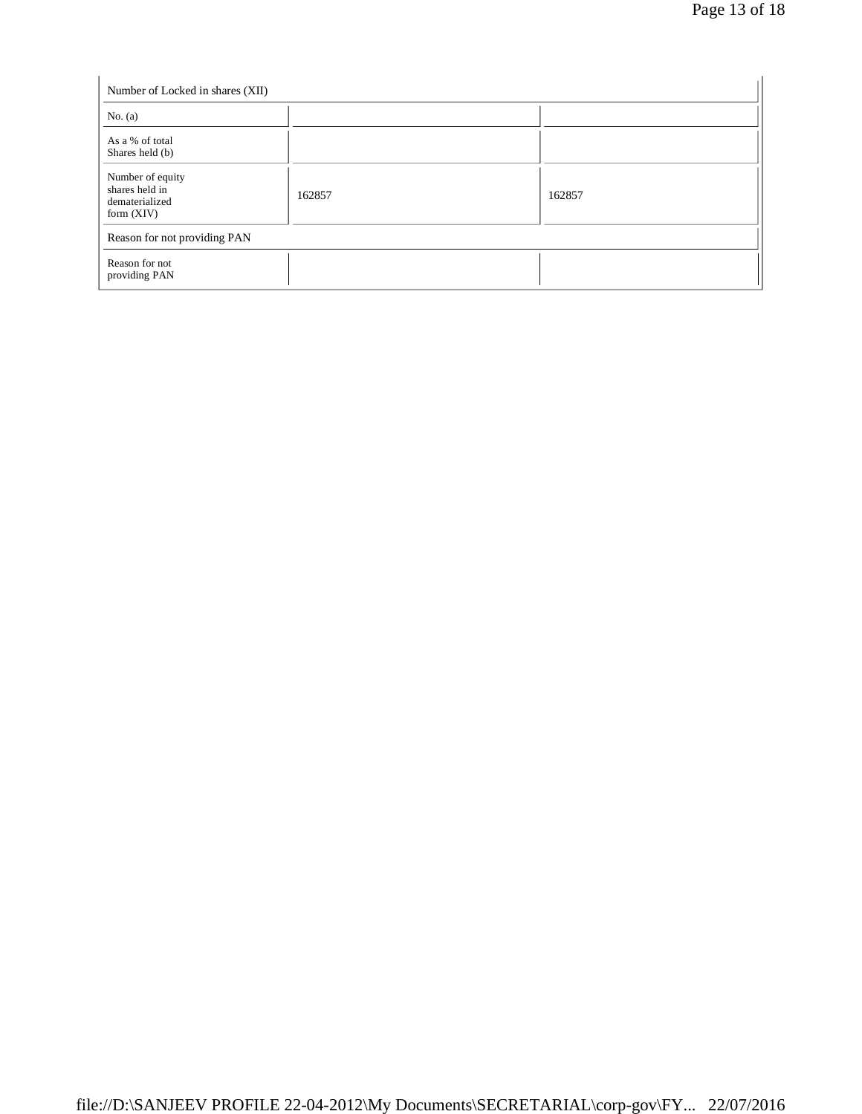| Number of Locked in shares (XII)                                     |        |        |
|----------------------------------------------------------------------|--------|--------|
| No. $(a)$                                                            |        |        |
| As a % of total<br>Shares held (b)                                   |        |        |
| Number of equity<br>shares held in<br>dematerialized<br>form $(XIV)$ | 162857 | 162857 |
| Reason for not providing PAN                                         |        |        |
| Reason for not<br>providing PAN                                      |        |        |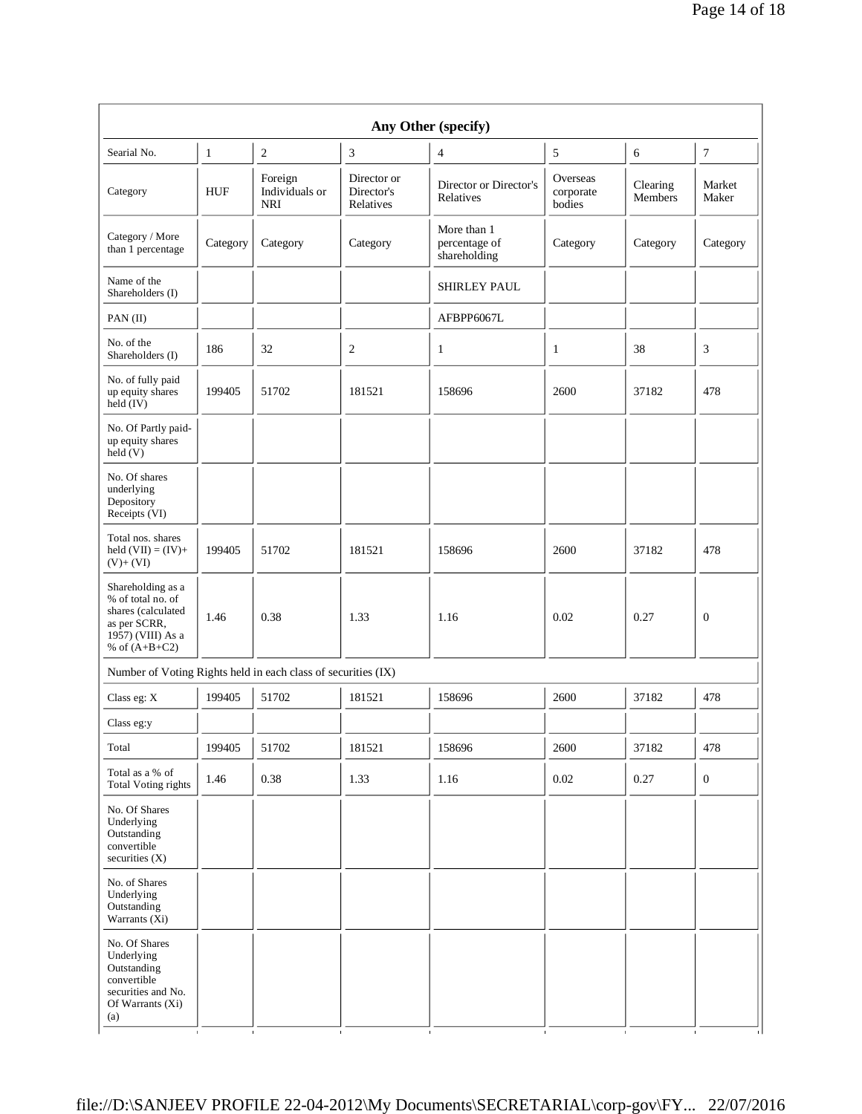| Any Other (specify)                                                                                                  |              |                                         |                                        |                                              |                                 |                     |                  |
|----------------------------------------------------------------------------------------------------------------------|--------------|-----------------------------------------|----------------------------------------|----------------------------------------------|---------------------------------|---------------------|------------------|
| Searial No.                                                                                                          | $\mathbf{1}$ | $\sqrt{2}$                              | 3                                      | $\overline{4}$                               | 5                               | 6                   | $\boldsymbol{7}$ |
| Category                                                                                                             | <b>HUF</b>   | Foreign<br>Individuals or<br><b>NRI</b> | Director or<br>Director's<br>Relatives | Director or Director's<br>Relatives          | Overseas<br>corporate<br>bodies | Clearing<br>Members | Market<br>Maker  |
| Category / More<br>than 1 percentage                                                                                 | Category     | Category                                | Category                               | More than 1<br>percentage of<br>shareholding | Category                        | Category            | Category         |
| Name of the<br>Shareholders (I)                                                                                      |              |                                         |                                        | SHIRLEY PAUL                                 |                                 |                     |                  |
| PAN(II)                                                                                                              |              |                                         |                                        | AFBPP6067L                                   |                                 |                     |                  |
| No. of the<br>Shareholders (I)                                                                                       | 186          | 32                                      | $\overline{c}$                         | $\mathbf{1}$                                 | 1                               | 38                  | 3                |
| No. of fully paid<br>up equity shares<br>held (IV)                                                                   | 199405       | 51702                                   | 181521                                 | 158696                                       | 2600                            | 37182               | 478              |
| No. Of Partly paid-<br>up equity shares<br>held (V)                                                                  |              |                                         |                                        |                                              |                                 |                     |                  |
| No. Of shares<br>underlying<br>Depository<br>Receipts (VI)                                                           |              |                                         |                                        |                                              |                                 |                     |                  |
| Total nos. shares<br>held $(VII) = (IV) +$<br>$(V)+(VI)$                                                             | 199405       | 51702                                   | 181521                                 | 158696                                       | 2600                            | 37182               | 478              |
| Shareholding as a<br>% of total no. of<br>shares (calculated<br>as per SCRR,<br>1957) (VIII) As a<br>% of $(A+B+C2)$ | 1.46         | 0.38                                    | 1.33                                   | 1.16                                         | 0.02                            | 0.27                | $\theta$         |
| Number of Voting Rights held in each class of securities (IX)                                                        |              |                                         |                                        |                                              |                                 |                     |                  |
| Class eg: X                                                                                                          | 199405       | 51702                                   | 181521                                 | 158696                                       | 2600                            | 37182               | 478              |
| Class eg:y                                                                                                           |              |                                         |                                        |                                              |                                 |                     |                  |
| Total                                                                                                                | 199405       | 51702                                   | 181521                                 | 158696                                       | 2600                            | 37182               | 478              |
| Total as a % of<br><b>Total Voting rights</b>                                                                        | 1.46         | 0.38                                    | 1.33                                   | 1.16                                         | 0.02                            | 0.27                | $\boldsymbol{0}$ |
| No. Of Shares<br>Underlying<br>Outstanding<br>convertible<br>securities (X)                                          |              |                                         |                                        |                                              |                                 |                     |                  |
| No. of Shares<br>Underlying<br>Outstanding<br>Warrants (Xi)                                                          |              |                                         |                                        |                                              |                                 |                     |                  |
| No. Of Shares<br>Underlying<br>Outstanding<br>convertible<br>securities and No.<br>Of Warrants (Xi)<br>(a)           |              |                                         |                                        |                                              |                                 |                     |                  |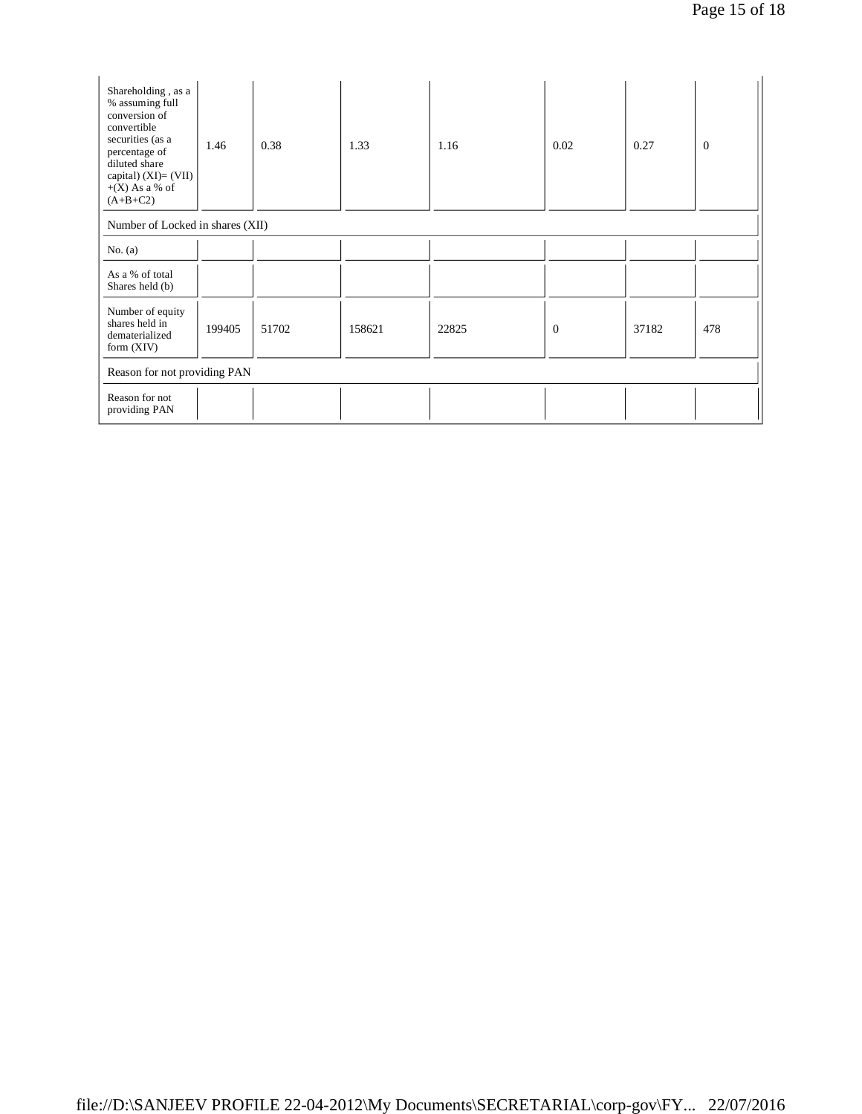| Shareholding, as a<br>% assuming full<br>conversion of<br>convertible<br>securities (as a<br>percentage of<br>diluted share<br>capital) $(XI)=(VII)$<br>$+(X)$ As a % of<br>$(A+B+C2)$ | 1.46   | 0.38  | 1.33   | 1.16  | 0.02         | 0.27  | $\overline{0}$ |
|----------------------------------------------------------------------------------------------------------------------------------------------------------------------------------------|--------|-------|--------|-------|--------------|-------|----------------|
| Number of Locked in shares (XII)                                                                                                                                                       |        |       |        |       |              |       |                |
| No. $(a)$                                                                                                                                                                              |        |       |        |       |              |       |                |
| As a % of total<br>Shares held (b)                                                                                                                                                     |        |       |        |       |              |       |                |
| Number of equity<br>shares held in<br>dematerialized<br>form $(XIV)$                                                                                                                   | 199405 | 51702 | 158621 | 22825 | $\mathbf{0}$ | 37182 | 478            |
| Reason for not providing PAN                                                                                                                                                           |        |       |        |       |              |       |                |
| Reason for not<br>providing PAN                                                                                                                                                        |        |       |        |       |              |       |                |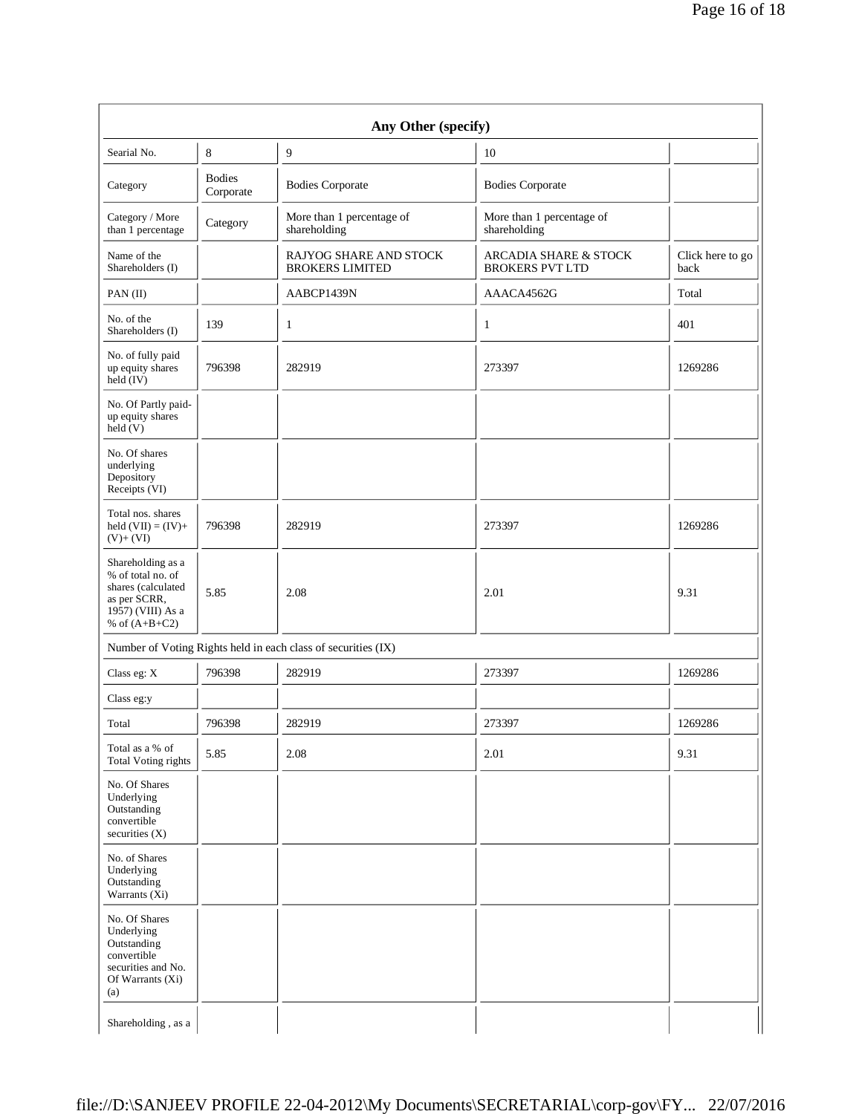| Any Other (specify)                                                                                                  |                            |                                                               |                                                            |                          |  |  |  |
|----------------------------------------------------------------------------------------------------------------------|----------------------------|---------------------------------------------------------------|------------------------------------------------------------|--------------------------|--|--|--|
| Searial No.                                                                                                          | 8                          | 9                                                             | 10                                                         |                          |  |  |  |
| Category                                                                                                             | <b>Bodies</b><br>Corporate | <b>Bodies Corporate</b>                                       | <b>Bodies Corporate</b>                                    |                          |  |  |  |
| Category / More<br>than 1 percentage                                                                                 | Category                   | More than 1 percentage of<br>shareholding                     | More than 1 percentage of<br>shareholding                  |                          |  |  |  |
| Name of the<br>Shareholders (I)                                                                                      |                            | <b>RAJYOG SHARE AND STOCK</b><br><b>BROKERS LIMITED</b>       | <b>ARCADIA SHARE &amp; STOCK</b><br><b>BROKERS PVT LTD</b> | Click here to go<br>back |  |  |  |
| PAN(II)                                                                                                              |                            | AABCP1439N                                                    | AAACA4562G                                                 | Total                    |  |  |  |
| No. of the<br>Shareholders (I)                                                                                       | 139                        | 1                                                             | 1                                                          | 401                      |  |  |  |
| No. of fully paid<br>up equity shares<br>held $(IV)$                                                                 | 796398                     | 282919                                                        | 273397                                                     | 1269286                  |  |  |  |
| No. Of Partly paid-<br>up equity shares<br>held(V)                                                                   |                            |                                                               |                                                            |                          |  |  |  |
| No. Of shares<br>underlying<br>Depository<br>Receipts (VI)                                                           |                            |                                                               |                                                            |                          |  |  |  |
| Total nos. shares<br>held $(VII) = (IV) +$<br>$(V)+(VI)$                                                             | 796398                     | 282919                                                        | 273397                                                     | 1269286                  |  |  |  |
| Shareholding as a<br>% of total no. of<br>shares (calculated<br>as per SCRR,<br>1957) (VIII) As a<br>% of $(A+B+C2)$ | 5.85                       | 2.08                                                          | 2.01                                                       | 9.31                     |  |  |  |
|                                                                                                                      |                            | Number of Voting Rights held in each class of securities (IX) |                                                            |                          |  |  |  |
| Class eg: X                                                                                                          | 796398                     | 282919                                                        | 273397                                                     | 1269286                  |  |  |  |
| Class eg:y                                                                                                           |                            |                                                               |                                                            |                          |  |  |  |
| Total                                                                                                                | 796398                     | 282919                                                        | 273397                                                     | 1269286                  |  |  |  |
| Total as a % of<br><b>Total Voting rights</b>                                                                        | 5.85                       | 2.08                                                          | 2.01                                                       | 9.31                     |  |  |  |
| No. Of Shares<br>Underlying<br>Outstanding<br>convertible<br>securities (X)                                          |                            |                                                               |                                                            |                          |  |  |  |
| No. of Shares<br>Underlying<br>Outstanding<br>Warrants (Xi)                                                          |                            |                                                               |                                                            |                          |  |  |  |
| No. Of Shares<br>Underlying<br>Outstanding<br>convertible<br>securities and No.<br>Of Warrants (Xi)<br>(a)           |                            |                                                               |                                                            |                          |  |  |  |
| Shareholding, as a                                                                                                   |                            |                                                               |                                                            |                          |  |  |  |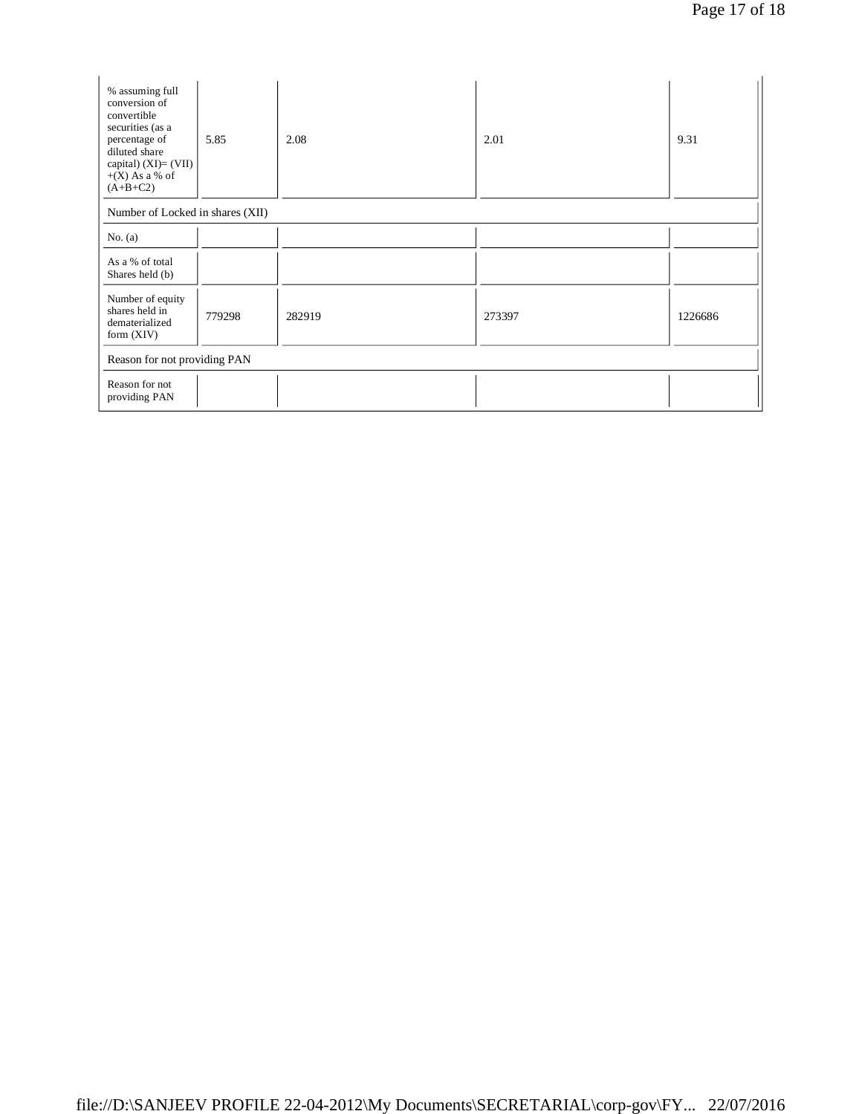| % assuming full<br>conversion of<br>convertible<br>securities (as a<br>percentage of<br>diluted share<br>capital) (XI)= (VII)<br>$+(X)$ As a % of<br>$(A+B+C2)$ | 5.85   | 2.08   | 2.01   | 9.31    |  |
|-----------------------------------------------------------------------------------------------------------------------------------------------------------------|--------|--------|--------|---------|--|
| Number of Locked in shares (XII)                                                                                                                                |        |        |        |         |  |
| No. $(a)$                                                                                                                                                       |        |        |        |         |  |
| As a % of total<br>Shares held (b)                                                                                                                              |        |        |        |         |  |
| Number of equity<br>shares held in<br>dematerialized<br>form $(XIV)$                                                                                            | 779298 | 282919 | 273397 | 1226686 |  |
| Reason for not providing PAN                                                                                                                                    |        |        |        |         |  |
| Reason for not<br>providing PAN                                                                                                                                 |        |        |        |         |  |